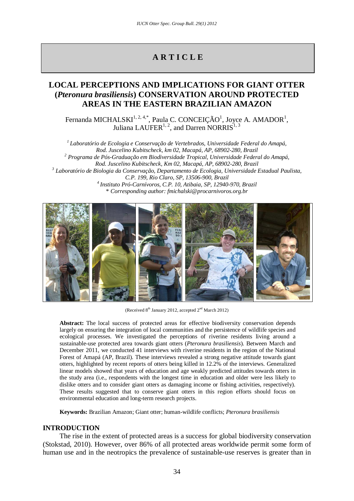# **A R T I C L E**

## **LOCAL PERCEPTIONS AND IMPLICATIONS FOR GIANT OTTER (***Pteronura brasiliensis***) CONSERVATION AROUND PROTECTED AREAS IN THE EASTERN BRAZILIAN AMAZON**

Fernanda MICHALSKI $^{1, 2, 4,*}$ , Paula C. CONCEIÇÃO<sup>1</sup>, Joyce A. AMADOR<sup>1</sup>, Juliana LAUFER $1, 2$ , and Darren NORRIS $1, 3$ 

*1 Laboratório de Ecologia e Conservação de Vertebrados, Universidade Federal do Amapá, Rod. Juscelino Kubitscheck, km 02, Macapá, AP, 68902-280, Brazil <sup>2</sup> Programa de Pós-Graduação em Biodiversidade Tropical, Universidade Federal do Amapá, Rod. Juscelino Kubitscheck, Km 02, Macapá, AP, 68902-280, Brazil <sup>3</sup> Laboratório de Biologia da Conservação, Departamento de Ecologia, Universidade Estadual Paulista, C.P. 199, Rio Claro, SP, 13506-900, Brazil 4 Instituto Pró-Carnívoros, C.P. 10, Atibaia, SP, 12940-970, Brazil* \* *Corresponding author: fmichalski@procarnivoros.org.br*



(Received  $8<sup>th</sup>$  January 2012, accepted  $2<sup>nd</sup>$  March 2012)

**Abstract:** The local success of protected areas for effective biodiversity conservation depends largely on ensuring the integration of local communities and the persistence of wildlife species and ecological processes. We investigated the perceptions of riverine residents living around a sustainable-use protected area towards giant otters (*Pteronura brasiliensis*). Between March and December 2011, we conducted 41 interviews with riverine residents in the region of the National Forest of Amapá (AP, Brazil). These interviews revealed a strong negative attitude towards giant otters, highlighted by recent reports of otters being killed in 12.2% of the interviews. Generalized linear models showed that years of education and age weakly predicted attitudes towards otters in the study area (i.e., respondents with the longest time in education and older were less likely to dislike otters and to consider giant otters as damaging income or fishing activities, respectively). These results suggested that to conserve giant otters in this region efforts should focus on environmental education and long-term research projects.

**Keywords:** Brazilian Amazon; Giant otter; human-wildlife conflicts; *Pteronura brasiliensis*

## **INTRODUCTION**

The rise in the extent of protected areas is a success for global biodiversity conservation (Stokstad, 2010). However, over 86% of all protected areas worldwide permit some form of human use and in the neotropics the prevalence of sustainable-use reserves is greater than in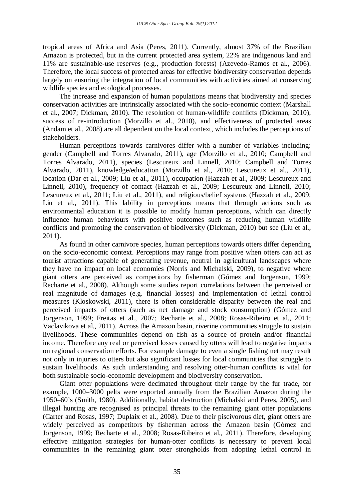tropical areas of Africa and Asia (Peres, 2011). Currently, almost 37% of the Brazilian Amazon is protected, but in the current protected area system, 22% are indigenous land and 11% are sustainable-use reserves (e.g., production forests) (Azevedo-Ramos et al., 2006). Therefore, the local success of protected areas for effective biodiversity conservation depends largely on ensuring the integration of local communities with activities aimed at conserving wildlife species and ecological processes.

The increase and expansion of human populations means that biodiversity and species conservation activities are intrinsically associated with the socio-economic context (Marshall et al., 2007; Dickman, 2010). The resolution of human-wildlife conflicts (Dickman, 2010), success of re-introduction (Morzillo et al., 2010), and effectiveness of protected areas (Andam et al., 2008) are all dependent on the local context, which includes the perceptions of stakeholders.

Human perceptions towards carnivores differ with a number of variables including: gender (Campbell and Torres Alvarado, 2011), age (Morzillo et al., 2010; Campbell and Torres Alvarado, 2011), species (Lescureux and Linnell, 2010; Campbell and Torres Alvarado, 2011), knowledge/education (Morzillo et al., 2010; Lescureux et al., 2011), location (Dar et al., 2009; Liu et al., 2011), occupation (Hazzah et al., 2009; Lescureux and Linnell, 2010), frequency of contact (Hazzah et al., 2009; Lescureux and Linnell, 2010; Lescureux et al., 2011; Liu et al., 2011), and religious/belief systems (Hazzah et al., 2009; Liu et al., 2011). This lability in perceptions means that through actions such as environmental education it is possible to modify human perceptions, which can directly influence human behaviours with positive outcomes such as reducing human wildlife conflicts and promoting the conservation of biodiversity (Dickman, 2010) but see (Liu et al., 2011).

As found in other carnivore species, human perceptions towards otters differ depending on the socio-economic context. Perceptions may range from positive when otters can act as tourist attractions capable of generating revenue, neutral in agricultural landscapes where they have no impact on local economies (Norris and Michalski, 2009), to negative where giant otters are perceived as competitors by fisherman (Gómez and Jorgenson, 1999; Recharte et al., 2008). Although some studies report correlations between the perceived or real magnitude of damages (e.g. financial losses) and implementation of lethal control measures (Kloskowski, 2011), there is often considerable disparity between the real and perceived impacts of otters (such as net damage and stock consumption) (Gómez and Jorgenson, 1999; Freitas et al., 2007; Recharte et al., 2008; Rosas-Ribeiro et al., 2011; Vaclavikova et al., 2011). Across the Amazon basin, riverine communities struggle to sustain livelihoods. These communities depend on fish as a source of protein and/or financial income. Therefore any real or perceived losses caused by otters will lead to negative impacts on regional conservation efforts. For example damage to even a single fishing net may result not only in injuries to otters but also significant losses for local communities that struggle to sustain livelihoods. As such understanding and resolving otter-human conflicts is vital for both sustainable socio-economic development and biodiversity conservation.

Giant otter populations were decimated throughout their range by the fur trade, for example, 1000–3000 pelts were exported annually from the Brazilian Amazon during the 1950–60's (Smith, 1980). Additionally, habitat destruction (Michalski and Peres, 2005), and illegal hunting are recognised as principal threats to the remaining giant otter populations (Carter and Rosas, 1997; Duplaix et al., 2008). Due to their piscivorous diet, giant otters are widely perceived as competitors by fisherman across the Amazon basin (Gómez and Jorgenson, 1999; Recharte et al., 2008; Rosas-Ribeiro et al., 2011). Therefore, developing effective mitigation strategies for human-otter conflicts is necessary to prevent local communities in the remaining giant otter strongholds from adopting lethal control in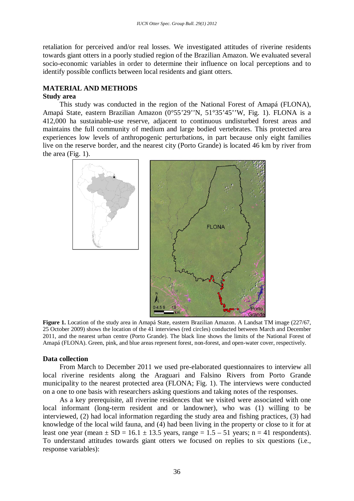retaliation for perceived and/or real losses. We investigated attitudes of riverine residents towards giant otters in a poorly studied region of the Brazilian Amazon. We evaluated several socio-economic variables in order to determine their influence on local perceptions and to identify possible conflicts between local residents and giant otters.

## **MATERIAL AND METHODS**

#### **Study area**

This study was conducted in the region of the National Forest of Amapá (FLONA), Amapá State, eastern Brazilian Amazon (0°55'29''N, 51°35'45''W, Fig. 1). FLONA is a 412,000 ha sustainable-use reserve, adjacent to continuous undisturbed forest areas and maintains the full community of medium and large bodied vertebrates. This protected area experiences low levels of anthropogenic perturbations, in part because only eight families live on the reserve border, and the nearest city (Porto Grande) is located 46 km by river from the area (Fig. 1).



**Figure 1.** Location of the study area in Amapá State, eastern Brazilian Amazon. A Landsat TM image (227/67, 25 October 2009) shows the location of the 41 interviews (red circles) conducted between March and December 2011, and the nearest urban centre (Porto Grande). The black line shows the limits of the National Forest of Amapá (FLONA). Green, pink, and blue areas represent forest, non-forest, and open-water cover, respectively.

## **Data collection**

From March to December 2011 we used pre-elaborated questionnaires to interview all local riverine residents along the Araguari and Falsino Rivers from Porto Grande municipality to the nearest protected area (FLONA; Fig. 1). The interviews were conducted on a one to one basis with researchers asking questions and taking notes of the responses.

As a key prerequisite, all riverine residences that we visited were associated with one local informant (long-term resident and or landowner), who was (1) willing to be interviewed, (2) had local information regarding the study area and fishing practices, (3) had knowledge of the local wild fauna, and (4) had been living in the property or close to it for at least one year (mean  $\pm$  SD = 16.1  $\pm$  13.5 years, range = 1.5 – 51 years; n = 41 respondents). To understand attitudes towards giant otters we focused on replies to six questions (i.e., response variables):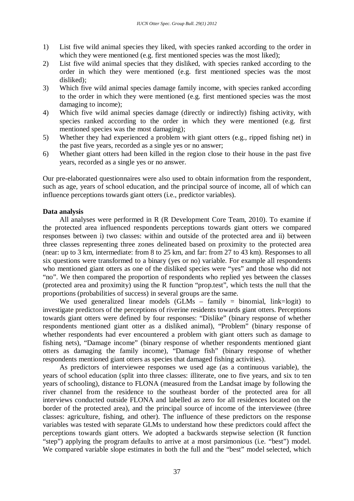- 1) List five wild animal species they liked, with species ranked according to the order in which they were mentioned (e.g. first mentioned species was the most liked);
- 2) List five wild animal species that they disliked, with species ranked according to the order in which they were mentioned (e.g. first mentioned species was the most disliked);
- 3) Which five wild animal species damage family income, with species ranked according to the order in which they were mentioned (e.g. first mentioned species was the most damaging to income);
- 4) Which five wild animal species damage (directly or indirectly) fishing activity, with species ranked according to the order in which they were mentioned (e.g. first mentioned species was the most damaging);
- 5) Whether they had experienced a problem with giant otters (e.g., ripped fishing net) in the past five years, recorded as a single yes or no answer;
- 6) Whether giant otters had been killed in the region close to their house in the past five years, recorded as a single yes or no answer.

Our pre-elaborated questionnaires were also used to obtain information from the respondent, such as age, years of school education, and the principal source of income, all of which can influence perceptions towards giant otters (i.e., predictor variables).

#### **Data analysis**

All analyses were performed in R (R Development Core Team, 2010). To examine if the protected area influenced respondents perceptions towards giant otters we compared responses between i) two classes: within and outside of the protected area and ii) between three classes representing three zones delineated based on proximity to the protected area (near: up to 3 km, intermediate: from 8 to 25 km, and far: from 27 to 43 km). Responses to all six questions were transformed to a binary (yes or no) variable. For example all respondents who mentioned giant otters as one of the disliked species were "yes" and those who did not "no". We then compared the proportion of respondents who replied yes between the classes (protected area and proximity) using the R function "prop.test", which tests the null that the proportions (probabilities of success) in several groups are the same.

We used generalized linear models (GLMs – family = binomial, link=logit) to investigate predictors of the perceptions of riverine residents towards giant otters. Perceptions towards giant otters were defined by four responses: "Dislike" (binary response of whether respondents mentioned giant otter as a disliked animal), "Problem" (binary response of whether respondents had ever encountered a problem with giant otters such as damage to fishing nets), "Damage income" (binary response of whether respondents mentioned giant otters as damaging the family income), "Damage fish" (binary response of whether respondents mentioned giant otters as species that damaged fishing activities).

As predictors of interviewee responses we used age (as a continuous variable), the years of school education (split into three classes: illiterate, one to five years, and six to ten years of schooling), distance to FLONA (measured from the Landsat image by following the river channel from the residence to the southeast border of the protected area for all interviews conducted outside FLONA and labelled as zero for all residences located on the border of the protected area), and the principal source of income of the interviewee (three classes: agriculture, fishing, and other). The influence of these predictors on the response variables was tested with separate GLMs to understand how these predictors could affect the perceptions towards giant otters. We adopted a backwards stepwise selection (R function "step") applying the program defaults to arrive at a most parsimonious (i.e. "best") model. We compared variable slope estimates in both the full and the "best" model selected, which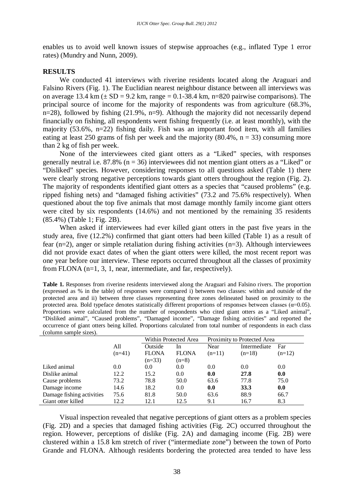enables us to avoid well known issues of stepwise approaches (e.g., inflated Type 1 error rates) (Mundry and Nunn, 2009).

#### **RESULTS**

We conducted 41 interviews with riverine residents located along the Araguari and Falsino Rivers (Fig. 1). The Euclidian nearest neighbour distance between all interviews was on average 13.4 km ( $\pm$  SD = 9.2 km, range = 0.1-38.4 km, n=820 pairwise comparisons). The principal source of income for the majority of respondents was from agriculture (68.3%, n=28), followed by fishing (21.9%, n=9). Although the majority did not necessarily depend financially on fishing, all respondents went fishing frequently (i.e. at least monthly), with the majority (53.6%, n=22) fishing daily. Fish was an important food item, with all families eating at least 250 grams of fish per week and the majority  $(80.4\%, n = 33)$  consuming more than 2 kg of fish per week.

None of the interviewees cited giant otters as a "Liked" species, with responses generally neutral i.e. 87.8% ( $n = 36$ ) interviewees did not mention giant otters as a "Liked" or "Disliked" species. However, considering responses to all questions asked (Table 1) there were clearly strong negative perceptions towards giant otters throughout the region (Fig. 2). The majority of respondents identified giant otters as a species that "caused problems" (e.g. ripped fishing nets) and "damaged fishing activities" (73.2 and 75.6% respectively). When questioned about the top five animals that most damage monthly family income giant otters were cited by six respondents (14.6%) and not mentioned by the remaining 35 residents (85.4%) (Table 1; Fig. 2B).

When asked if interviewees had ever killed giant otters in the past five years in the study area, five (12.2%) confirmed that giant otters had been killed (Table 1) as a result of fear (n=2), anger or simple retaliation during fishing activities (n=3). Although interviewees did not provide exact dates of when the giant otters were killed, the most recent report was one year before our interview. These reports occurred throughout all the classes of proximity from FLONA (n=1, 3, 1, near, intermediate, and far, respectively).

| Table 1. Responses from riverine residents interviewed along the Araguari and Falsino rivers. The proportion              |
|---------------------------------------------------------------------------------------------------------------------------|
| (expressed as % in the table) of responses were compared i) between two classes: within and outside of the                |
| protected area and ii) between three classes representing three zones delineated based on proximity to the                |
| protected area. Bold typeface denotes statistically different proportions of responses between classes ( $\alpha$ =0.05). |
| Proportions were calculated from the number of respondents who cited giant otters as a "Liked animal",                    |
| "Disliked animal", "Caused problems", "Damaged income", "Damage fishing activities" and reported the                      |
| occurrence of giant otters being killed. Proportions calculated from total number of respondents in each class            |
| (column sample sizes).                                                                                                    |

|                           |          | Within Protected Area |              | Proximity to Protected Area |              |          |
|---------------------------|----------|-----------------------|--------------|-----------------------------|--------------|----------|
|                           | All      | Outside               | In           | Near                        | Intermediate | Far      |
|                           | $(n=41)$ | <b>FLONA</b>          | <b>FLONA</b> | $(n=11)$                    | $(n=18)$     | $(n=12)$ |
|                           |          | $(n=33)$              | $(n=8)$      |                             |              |          |
| Liked animal              | 0.0      | 0.0                   | 0.0          | 0.0                         | 0.0          | 0.0      |
| Dislike animal            | 12.2     | 15.2                  | 0.0          | 0.0                         | 27.8         | 0.0      |
| Cause problems            | 73.2     | 78.8                  | 50.0         | 63.6                        | 77.8         | 75.0     |
| Damage income             | 14.6     | 18.2                  | 0.0          | 0.0                         | <b>33.3</b>  | 0.0      |
| Damage fishing activities | 75.6     | 81.8                  | 50.0         | 63.6                        | 88.9         | 66.7     |
| Giant otter killed        | 12.2     | 12.1                  | 12.5         | 9.1                         | 16.7         | 8.3      |

Visual inspection revealed that negative perceptions of giant otters as a problem species (Fig. 2D) and a species that damaged fishing activities (Fig. 2C) occurred throughout the region. However, perceptions of dislike (Fig. 2A) and damaging income (Fig. 2B) were clustered within a 15.8 km stretch of river ("intermediate zone") between the town of Porto Grande and FLONA. Although residents bordering the protected area tended to have less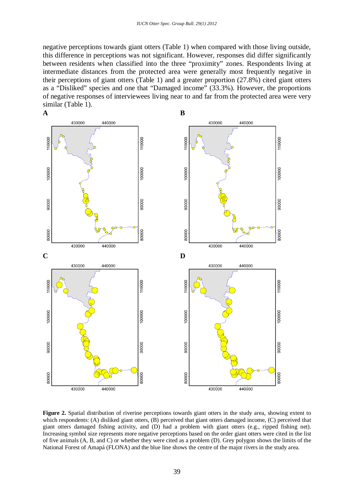negative perceptions towards giant otters (Table 1) when compared with those living outside, this difference in perceptions was not significant. However, responses did differ significantly between residents when classified into the three "proximity" zones. Respondents living at intermediate distances from the protected area were generally most frequently negative in their perceptions of giant otters (Table 1) and a greater proportion (27.8%) cited giant otters as a "Disliked" species and one that "Damaged income" (33.3%). However, the proportions of negative responses of interviewees living near to and far from the protected area were very similar (Table 1).



**Figure 2.** Spatial distribution of riverine perceptions towards giant otters in the study area, showing extent to which respondents: (A) disliked giant otters, (B) perceived that giant otters damaged income, (C) perceived that giant otters damaged fishing activity, and (D) had a problem with giant otters (e.g., ripped fishing net). Increasing symbol size represents more negative perceptions based on the order giant otters were cited in the list of five animals (A, B, and C) or whether they were cited as a problem (D). Grey polygon shows the limits of the National Forest of Amapá (FLONA) and the blue line shows the centre of the major rivers in the study area.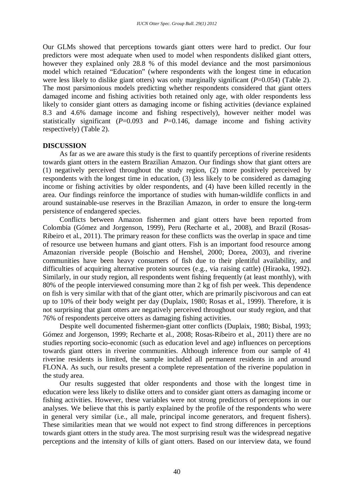Our GLMs showed that perceptions towards giant otters were hard to predict. Our four predictors were most adequate when used to model when respondents disliked giant otters, however they explained only 28.8 % of this model deviance and the most parsimonious model which retained "Education" (where respondents with the longest time in education were less likely to dislike giant otters) was only marginally significant (*P*=0.054) (Table 2). The most parsimonious models predicting whether respondents considered that giant otters damaged income and fishing activities both retained only age, with older respondents less likely to consider giant otters as damaging income or fishing activities (deviance explained 8.3 and 4.6% damage income and fishing respectively), however neither model was statistically significant  $(P=0.093$  and  $P=0.146$ , damage income and fishing activity respectively) (Table 2).

#### **DISCUSSION**

As far as we are aware this study is the first to quantify perceptions of riverine residents towards giant otters in the eastern Brazilian Amazon. Our findings show that giant otters are (1) negatively perceived throughout the study region, (2) more positively perceived by respondents with the longest time in education, (3) less likely to be considered as damaging income or fishing activities by older respondents, and (4) have been killed recently in the area. Our findings reinforce the importance of studies with human-wildlife conflicts in and around sustainable-use reserves in the Brazilian Amazon, in order to ensure the long-term persistence of endangered species.

Conflicts between Amazon fishermen and giant otters have been reported from Colombia (Gómez and Jorgenson, 1999), Peru (Recharte et al., 2008), and Brazil (Rosas-Ribeiro et al., 2011). The primary reason for these conflicts was the overlap in space and time of resource use between humans and giant otters. Fish is an important food resource among Amazonian riverside people (Boischio and Henshel, 2000; Dorea, 2003), and riverine communities have been heavy consumers of fish due to their plentiful availability, and difficulties of acquiring alternative protein sources (e.g., via raising cattle) (Hiraoka, 1992). Similarly, in our study region, all respondents went fishing frequently (at least monthly), with 80% of the people interviewed consuming more than 2 kg of fish per week. This dependence on fish is very similar with that of the giant otter, which are primarily piscivorous and can eat up to 10% of their body weight per day (Duplaix, 1980; Rosas et al., 1999). Therefore, it is not surprising that giant otters are negatively perceived throughout our study region, and that 76% of respondents perceive otters as damaging fishing activities.

Despite well documented fishermen-giant otter conflicts (Duplaix, 1980; Bisbal, 1993; Gómez and Jorgenson, 1999; Recharte et al., 2008; Rosas-Ribeiro et al., 2011) there are no studies reporting socio-economic (such as education level and age) influences on perceptions towards giant otters in riverine communities. Although inference from our sample of 41 riverine residents is limited, the sample included all permanent residents in and around FLONA. As such, our results present a complete representation of the riverine population in the study area.

Our results suggested that older respondents and those with the longest time in education were less likely to dislike otters and to consider giant otters as damaging income or fishing activities. However, these variables were not strong predictors of perceptions in our analyses. We believe that this is partly explained by the profile of the respondents who were in general very similar (i.e., all male, principal income generators, and frequent fishers). These similarities mean that we would not expect to find strong differences in perceptions towards giant otters in the study area. The most surprising result was the widespread negative perceptions and the intensity of kills of giant otters. Based on our interview data, we found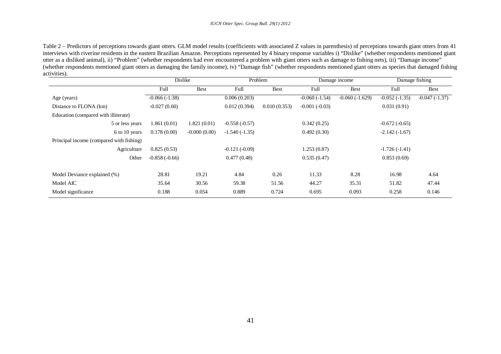Table 2 – Predictors of perceptions towards giant otters. GLM model results (coefficients with associated Z values in parenthesis) of perceptions towards giant otters from 41 interviews with riverine residents in the eastern Brazilian Amazon. Perceptions represented by 4 binary response variables i) "Dislike" (whether respondents mentioned giant otter as a disliked animal), ii) "Problem" (whether respondents had ever encountered a problem with giant otters such as damage to fishing nets), iii) "Damage income" (whether respondents mentioned giant otters as damaging the family income), iv) "Damage fish" (whether respondents mentioned giant otters as species that damaged fishing activities).

|                                          | Dislike         |                | Problem         |              | Damage income   |                  | Damage fishing  |                 |
|------------------------------------------|-----------------|----------------|-----------------|--------------|-----------------|------------------|-----------------|-----------------|
|                                          | Full            | <b>Best</b>    | Full            | <b>Best</b>  | Full            | <b>Best</b>      | Full            | Best            |
| Age (years)                              | $-0.066(-1.38)$ |                | 0.006(0.203)    |              | $-0.060(-1.54)$ | $-0.060(-1.629)$ | $-0.052(-1.35)$ | $-0.047(-1.37)$ |
| Distance to FLONA (km)                   | $-0.027(0.60)$  |                | 0.012(0.394)    | 0.010(0.353) | $-0.001(-0.03)$ |                  | 0.031(0.91)     |                 |
| Education (compared with illiterate)     |                 |                |                 |              |                 |                  |                 |                 |
| 5 or less years                          | 1.861(0.01)     | 1.821(0.01)    | $-0.558(-0.57)$ |              | 0.342(0.25)     |                  | $-0.672(-0.65)$ |                 |
| 6 to 10 years                            | 0.178(0.00)     | $-0.000(0.00)$ | $-1.540(-1.35)$ |              | 0.492(0.30)     |                  | $-2.142(-1.67)$ |                 |
| Principal income (compared with fishing) |                 |                |                 |              |                 |                  |                 |                 |
| Agriculture                              | 0.825(0.53)     |                | $-0.121(-0.09)$ |              | 1.253(0.87)     |                  | $-1.726(-1.41)$ |                 |
| Other                                    | $-0.858(-0.66)$ |                | 0.477(0.48)     |              | 0.535(0.47)     |                  | 0.853(0.69)     |                 |
|                                          |                 |                |                 |              |                 |                  |                 |                 |
| Model Deviance explained (%)             | 28.81           | 19.21          | 4.84            | 0.26         | 11.33           | 8.28             | 16.98           | 4.64            |
| Model AIC                                | 35.64           | 30.56          | 59.38           | 51.56        | 44.27           | 35.31            | 51.82           | 47.44           |
| Model significance                       | 0.188           | 0.054          | 0.889           | 0.724        | 0.695           | 0.093            | 0.258           | 0.146           |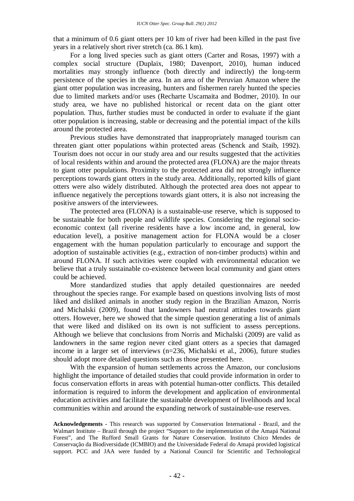that a minimum of 0.6 giant otters per 10 km of river had been killed in the past five years in a relatively short river stretch (ca. 86.1 km).

For a long lived species such as giant otters (Carter and Rosas, 1997) with a complex social structure (Duplaix, 1980; Davenport, 2010), human induced mortalities may strongly influence (both directly and indirectly) the long-term persistence of the species in the area. In an area of the Peruvian Amazon where the giant otter population was increasing, hunters and fishermen rarely hunted the species due to limited markets and/or uses (Recharte Uscamaita and Bodmer, 2010). In our study area, we have no published historical or recent data on the giant otter population. Thus, further studies must be conducted in order to evaluate if the giant otter population is increasing, stable or decreasing and the potential impact of the kills around the protected area.

Previous studies have demonstrated that inappropriately managed tourism can threaten giant otter populations within protected areas (Schenck and Staib, 1992). Tourism does not occur in our study area and our results suggested that the activities of local residents within and around the protected area (FLONA) are the major threats to giant otter populations. Proximity to the protected area did not strongly influence perceptions towards giant otters in the study area. Additionally, reported kills of giant otters were also widely distributed. Although the protected area does not appear to influence negatively the perceptions towards giant otters, it is also not increasing the positive answers of the interviewees.

The protected area (FLONA) is a sustainable-use reserve, which is supposed to be sustainable for both people and wildlife species. Considering the regional socioeconomic context (all riverine residents have a low income and, in general, low education level), a positive management action for FLONA would be a closer engagement with the human population particularly to encourage and support the adoption of sustainable activities (e.g., extraction of non-timber products) within and around FLONA. If such activities were coupled with environmental education we believe that a truly sustainable co-existence between local community and giant otters could be achieved.

More standardized studies that apply detailed questionnaires are needed throughout the species range. For example based on questions involving lists of most liked and disliked animals in another study region in the Brazilian Amazon, Norris and Michalski (2009), found that landowners had neutral attitudes towards giant otters. However, here we showed that the simple question generating a list of animals that were liked and disliked on its own is not sufficient to assess perceptions. Although we believe that conclusions from Norris and Michalski (2009) are valid as landowners in the same region never cited giant otters as a species that damaged income in a larger set of interviews (n=236, Michalski et al., 2006), future studies should adopt more detailed questions such as those presented here.

With the expansion of human settlements across the Amazon, our conclusions highlight the importance of detailed studies that could provide information in order to focus conservation efforts in areas with potential human-otter conflicts. This detailed information is required to inform the development and application of environmental education activities and facilitate the sustainable development of livelihoods and local communities within and around the expanding network of sustainable-use reserves.

**Acknowledgements -** This research was supported by Conservation International - Brazil, and the Walmart Institute – Brazil through the project "Support to the implementation of the Amapá National Forest", and The Rufford Small Grants for Nature Conservation. Instituto Chico Mendes de Conservação da Biodiversidade (ICMBIO) and the Universidade Federal do Amapá provided logistical support. PCC and JAA were funded by a National Council for Scientific and Technological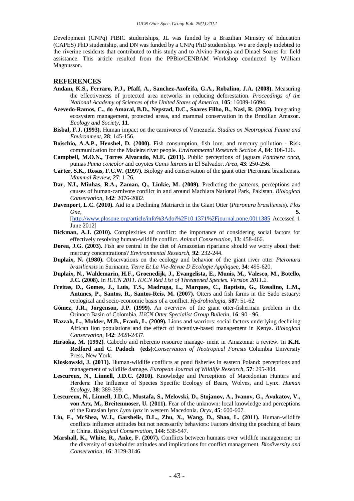Development (CNPq) PIBIC studentships, JL was funded by a Brazilian Ministry of Education (CAPES) PhD studentship, and DN was funded by a CNPq PhD studentship. We are deeply indebted to the riverine residents that contributed to this study and to Alvino Pantoja and Dinael Soares for field assistance. This article resulted from the PPBio/CENBAM Workshop conducted by William Magnusson.

#### **REFERENCES**

- **Andam, K.S., Ferraro, P.J., Pfaff, A., Sanchez-Azofeifa, G.A., Robalino, J.A. (2008).** Measuring the effectiveness of protected area networks in reducing deforestation. *Proceedings of the National Academy of Sciences of the United States of America,* **105**: 16089-16094.
- **Azevedo-Ramos, C., do Amaral, B.D., Nepstad, D.C., Soares Filho, B., Nasi, R. (2006).** Integrating ecosystem management, protected areas, and mammal conservation in the Brazilian Amazon. *Ecology and Society,* **11**.
- **Bisbal, F.J. (1993).** Human impact on the carnivores of Venezuela. *Studies on Neotropical Fauna and Environment,* **28**: 145-156.
- **Boischio, A.A.P., Henshel, D. (2000).** Fish consumption, fish lore, and mercury pollution Risk communication for the Madeira river people. *Environmental Research Section A,* **84**: 108-126.
- **Campbell, M.O.N., Torres Alvarado, M.E. (2011).** Public perceptions of jaguars *Panthera onca*, pumas *Puma concolor* and coyotes *Canis latrans* in El Salvador. *Area,* **43**: 250-256.
- **Carter, S.K., Rosas, F.C.W. (1997).** Biology and conservation of the giant otter Pteronura brasiliensis. *Mammal Review,* **27**: 1-26.
- **Dar, N.I., Minhas, R.A., Zaman, Q., Linkie, M. (2009).** Predicting the patterns, perceptions and causes of human-carnivore conflict in and around Machiara National Park, Pakistan. *Biological Conservation,* **142**: 2076-2082.
- **Davenport, L.C. (2010).** Aid to a Declining Matriarch in the Giant Otter (*Pteronura brasiliensis*). *Plos One,* **5**.

[\[http://www.plosone.org/article/info%3Adoi%2F10.1371%2Fjournal.pone.0011385](http://www.plosone.org/article/info%3Adoi%2F10.1371%2Fjournal.pone.0011385) Accessed 1 June 2012]

- **Dickman, A.J. (2010).** Complexities of conflict: the importance of considering social factors for effectively resolving human-wildlife conflict. *Animal Conservation,* **13**: 458-466.
- **Dorea, J.G. (2003).** Fish are central in the diet of Amazonian riparians: should we worry about their mercury concentrations? *Environmental Research,* **92**: 232-244.
- **Duplaix, N. (1980).** Observations on the ecology and behavior of the giant river otter *Pteronura brasiliensis* in Suriname. *Terre Et La Vie-Revue D Ecologie Appliquee,* **34**: 495-620.
- **Duplaix, N., Waldemarin, H.F., Groenedijk, J., Evangelista, E., Munis, M., Valesco, M., Botello, J.C. (2008).** In *IUCN 2011. IUCN Red List of Threatened Species. Version 2011.2*.
- **Freitas, D., Gomes, J., Luis, T.S., Madruga, L., Marques, C., Baptista, G., Rosalino, L.M., Antunes, P., Santos, R., Santos-Reis, M. (2007).** Otters and fish farms in the Sado estuary: ecological and socio-economic basis of a conflict. *Hydrobiologia,* **587**: 51-62.
- **Gómez, J.R., Jorgenson, J.P. (1999).** An overview of the giant otter-fisherman problem in the Orinoco Basin of Colombia. *IUCN Otter Specialist Group Bulletin,* **16**: 90 - 96.
- **Hazzah, L., Mulder, M.B., Frank, L. (2009).** Lions and warriors: social factors underlying declining African lion populations and the effect of incentive-based management in Kenya. *Biological Conservation,* **142**: 2428-2437.
- **Hiraoka, M. (1992).** Caboclo and ribereño resource manage- ment in Amazonia: a review. In **K.H. Redford and C. Padoch****(eds)**:*Conservation of Neotropical Forests* Columbia University Press, New York.
- **Kloskowski, J. (2011).** Human-wildlife conflicts at pond fisheries in eastern Poland: perceptions and management of wildlife damage. *European Journal of Wildlife Research,* **57**: 295-304.
- **Lescureux, N., Linnell, J.D.C. (2010).** Knowledge and Perceptions of Macedonian Hunters and Herders: The Influence of Species Specific Ecology of Bears, Wolves, and Lynx. *Human Ecology,* **38**: 389-399.
- **Lescureux, N., Linnell, J.D.C., Mustafa, S., Melovski, D., Stojanov, A., Ivanov, G., Avukatov, V., von Arx, M., Breitenmoser, U. (2011).** Fear of the unknown: local knowledge and perceptions of the Eurasian lynx *Lynx lynx* in western Macedonia. *Oryx,* **45**: 600-607.
- **Liu, F., McShea, W.J., Garshelis, D.L., Zhu, X., Wang, D., Shao, L. (2011).** Human-wildlife conflicts influence attitudes but not necessarily behaviors: Factors driving the poaching of bears in China. *Biological Conservation,* **144**: 538-547.
- **Marshall, K., White, R., Anke, F. (2007).** Conflicts between humans over wildlife management: on the diversity of stakeholder attitudes and implications for conflict management. *Biodiversity and Conservation,* **16**: 3129-3146.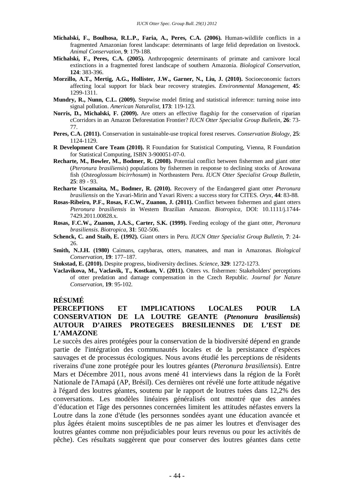- **Michalski, F., Boulhosa, R.L.P., Faria, A., Peres, C.A. (2006).** Human-wildlife conflicts in a fragmented Amazonian forest landscape: determinants of large felid depredation on livestock. *Animal Conservation,* **9**: 179-188.
- **Michalski, F., Peres, C.A. (2005).** Anthropogenic determinants of primate and carnivore local extinctions in a fragmented forest landscape of southern Amazonia. *Biological Conservation,* **124**: 383-396.
- **Morzillo, A.T., Mertig, A.G., Hollister, J.W., Garner, N., Liu, J. (2010).** Socioeconomic factors affecting local support for black bear recovery strategies. *Environmental Management,* **45**: 1299-1311.
- **Mundry, R., Nunn, C.L. (2009).** Stepwise model fitting and statistical inference: turning noise into signal pollution. *American Naturalist,* **173**: 119-123.
- **Norris, D., Michalski, F. (2009).** Are otters an effective flagship for the conservation of riparian cCorridors in an Amazon Deforestation Frontier? *IUCN Otter Specialist Group Bulletin,* **26**: 73- 77.
- **Peres, C.A. (2011).** Conservation in sustainable-use tropical forest reserves. *Conservation Biology,* **25**: 1124-1129.
- **R Development Core Team (2010).** R Foundation for Statistical Computing, Vienna, R Foundation for Statistical Computing, ISBN 3-900051-07-0.
- **Recharte, M., Bowler, M., Bodmer, R. (2008).** Potential conflict between fishermen and giant otter (*Pteronura brasiliensis*) populations by fishermen in response to declining stocks of Arowana fish (*Osteoglossum bicirrhosum*) in Northeastern Peru. *IUCN Otter Specialist Group Bulletin,* **25**: 89 - 93.
- **Recharte Uscamaita, M., Bodmer, R. (2010).** Recovery of the Endangered giant otter *Pteronura brasiliensis* on the Yavari-Mirin and Yavari Rivers: a success story for CITES. *Oryx,* **44**: 83-88.
- **Rosas-Ribeiro, P.F., Rosas, F.C.W., Zuanon, J. (2011).** Conflict between fishermen and giant otters *Pteronura brasiliensis* in Western Brazilian Amazon. *Biotropica,* DOI: 10.1111/j.1744- 7429.2011.00828.x.
- **Rosas, F.C.W., Zuanon, J.A.S., Carter, S.K. (1999).** Feeding ecology of the giant otter, *Pteronura brasiliensis*. *Biotropica,* **31**: 502-506.
- **Schenck, C. and Staib, E. (1992).** Giant otters in Peru. *IUCN Otter Specialist Group Bulletin,* **7**: 24- 26.
- **Smith, N.J.H. (1980)** Caimans, capybaras, otters, manatees, and man in Amazonas. *Biological Conservation,* **19**: 177–187.
- **Stokstad, E. (2010).** Despite progress, biodiversity declines. *Science,* **329**: 1272-1273.
- **Vaclavikova, M., Vaclavik, T., Kostkan, V. (2011).** Otters vs. fishermen: Stakeholders' perceptions of otter predation and damage compensation in the Czech Republic. *Journal for Nature Conservation,* **19**: 95-102.

#### **RÉSUMÉ**

## **PERCEPTIONS ET IMPLICATIONS LOCALES POUR LA CONSERVATION DE LA LOUTRE GEANTE (***Ptenonura brasiliensis***) AUTOUR D'AIRES PROTEGEES BRESILIENNES DE L'EST DE L'AMAZONE**

Le succès des aires protégées pour la conservation de la biodiversité dépend en grande partie de l'intégration des communautés locales et de la persistance d'espèces sauvages et de processus écologiques. Nous avons étudié les perceptions de résidents riverains d'une zone protégée pour les loutres géantes (*Pteronura brasiliensis*). Entre Mars et Décembre 2011, nous avons mené 41 interviews dans la région de la Forêt Nationale de l'Amapá (AP, Brésil). Ces dernières ont révélé une forte attitude négative à l'égard des loutres géantes, soutenu par le rapport de loutres tuées dans 12,2% des conversations. Les modèles linéaires généralisés ont montré que des années d'éducation et l'âge des personnes concernées limitent les attitudes néfastes envers la Loutre dans la zone d'étude (les personnes sondées ayant une éducation avancée et plus âgées étaient moins susceptibles de ne pas aimer les loutres et d'envisager des loutres géantes comme non préjudiciables pour leurs revenus ou pour les activités de pêche). Ces résultats suggèrent que pour conserver des loutres géantes dans cette